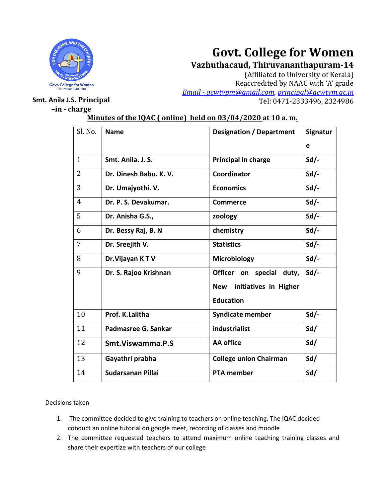

# **Govt. College for Women**

**Vazhuthacaud, Thiruvananthapuram-14**

(Affiliated to University of Kerala) Reaccredited by NAAC with 'A' grade *Email - [gcwtvpm@gmail.com,](mailto:Email%20-%20gcwtvpm@gmail.com) [principal@gcwtvm.ac.in](mailto:principal@gcwtvm.ac.in)* **Smt. Anila J.S. Principal Contract Contract Contract Contract Contract Contract Contract Contract Contract Contract Contract Contract Contract Contract Contract Contract Contract Contract Contract Contract Contract Cont** 

# **–in - charge**

| Sl. No.        | <b>Name</b>              | <b>Designation / Department</b> | Signatur |
|----------------|--------------------------|---------------------------------|----------|
|                |                          |                                 | e        |
| $\mathbf{1}$   | Smt. Anila. J. S.        | Principal in charge             | $Sd$ .   |
| $\overline{2}$ | Dr. Dinesh Babu. K. V.   | Coordinator                     | $Sd/-$   |
| 3              | Dr. Umajyothi. V.        | <b>Economics</b>                | $Sd/-$   |
| $\overline{4}$ | Dr. P. S. Devakumar.     | <b>Commerce</b>                 | $Sd/-$   |
| 5              | Dr. Anisha G.S.,         | zoology                         | $Sd/-$   |
| 6              | Dr. Bessy Raj, B. N      | chemistry                       | $Sd/-$   |
| $\overline{7}$ | Dr. Sreejith V.          | <b>Statistics</b>               | $Sd$ .   |
| 8              | Dr. Vijayan KTV          | <b>Microbiology</b>             | $Sd$ .   |
| 9              | Dr. S. Rajoo Krishnan    | Officer on special<br>duty,     | $Sd$ .   |
|                |                          | New initiatives in Higher       |          |
|                |                          | <b>Education</b>                |          |
| 10             | Prof. K.Lalitha          | <b>Syndicate member</b>         | $Sd$ .   |
| 11             | Padmasree G. Sankar      | industrialist                   | Sd/      |
| 12             | Smt. Viswamma. P.S       | <b>AA</b> office                | Sd/      |
| 13             | Gayathri prabha          | <b>College union Chairman</b>   | Sd/      |
| 14             | <b>Sudarsanan Pillai</b> | <b>PTA member</b>               | Sd/      |

# **Minutes of the IQAC ( online) held on 03/04/2020 at 10 a. m.**

## Decisions taken

- 1. The committee decided to give training to teachers on online teaching. The IQAC decided conduct an online tutorial on google meet, recording of classes and moodle
- 2. The committee requested teachers to attend maximum online teaching training classes and share their expertize with teachers of our college